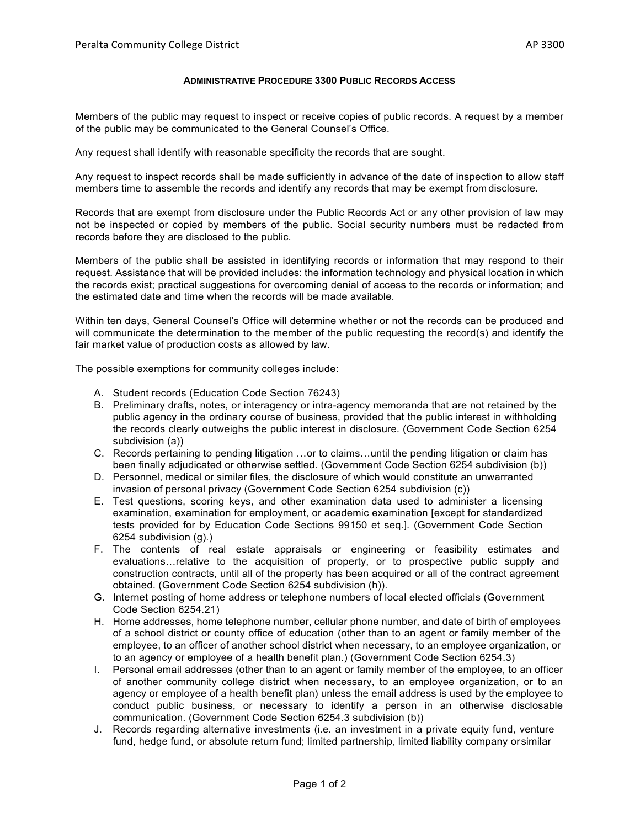## **ADMINISTRATIVE PROCEDURE 3300 PUBLIC RECORDS ACCESS**

Members of the public may request to inspect or receive copies of public records. A request by a member of the public may be communicated to the General Counsel's Office.

Any request shall identify with reasonable specificity the records that are sought.

Any request to inspect records shall be made sufficiently in advance of the date of inspection to allow staff members time to assemble the records and identify any records that may be exempt from disclosure.

Records that are exempt from disclosure under the Public Records Act or any other provision of law may not be inspected or copied by members of the public. Social security numbers must be redacted from records before they are disclosed to the public.

Members of the public shall be assisted in identifying records or information that may respond to their request. Assistance that will be provided includes: the information technology and physical location in which the records exist; practical suggestions for overcoming denial of access to the records or information; and the estimated date and time when the records will be made available.

Within ten days, General Counsel's Office will determine whether or not the records can be produced and will communicate the determination to the member of the public requesting the record(s) and identify the fair market value of production costs as allowed by law.

The possible exemptions for community colleges include:

- A. Student records (Education Code Section 76243)
- B. Preliminary drafts, notes, or interagency or intra-agency memoranda that are not retained by the public agency in the ordinary course of business, provided that the public interest in withholding the records clearly outweighs the public interest in disclosure. (Government Code Section 6254 subdivision (a))
- C. Records pertaining to pending litigation …or to claims…until the pending litigation or claim has been finally adjudicated or otherwise settled. (Government Code Section 6254 subdivision (b))
- D. Personnel, medical or similar files, the disclosure of which would constitute an unwarranted invasion of personal privacy (Government Code Section 6254 subdivision (c))
- E. Test questions, scoring keys, and other examination data used to administer a licensing examination, examination for employment, or academic examination [except for standardized tests provided for by Education Code Sections 99150 et seq.]. (Government Code Section 6254 subdivision (g).)
- F. The contents of real estate appraisals or engineering or feasibility estimates and evaluations…relative to the acquisition of property, or to prospective public supply and construction contracts, until all of the property has been acquired or all of the contract agreement obtained. (Government Code Section 6254 subdivision (h)).
- G. Internet posting of home address or telephone numbers of local elected officials (Government Code Section 6254.21)
- H. Home addresses, home telephone number, cellular phone number, and date of birth of employees of a school district or county office of education (other than to an agent or family member of the employee, to an officer of another school district when necessary, to an employee organization, or to an agency or employee of a health benefit plan.) (Government Code Section 6254.3)
- I. Personal email addresses (other than to an agent or family member of the employee, to an officer of another community college district when necessary, to an employee organization, or to an agency or employee of a health benefit plan) unless the email address is used by the employee to conduct public business, or necessary to identify a person in an otherwise disclosable communication. (Government Code Section 6254.3 subdivision (b))
- J. Records regarding alternative investments (i.e. an investment in a private equity fund, venture fund, hedge fund, or absolute return fund; limited partnership, limited liability company orsimilar